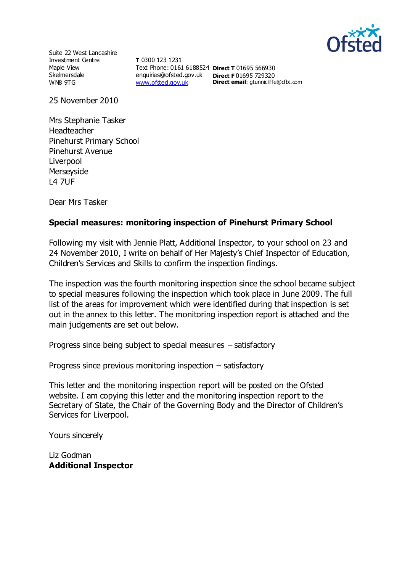

Suite 22 West Lancashire Investment Centre Maple View Skelmersdale WN8 9TG

**T** 0300 123 1231 Text Phone: 0161 6188524 **Direct T** 01695 566930 enquiries@ofsted.gov.uk **Direct F** 01695 729320 [www.ofsted.gov.uk](http://www.ofsted.gov.uk/)

**Direct email:** gtunnicliffe@cfbt.com

25 November 2010

Mrs Stephanie Tasker Headteacher Pinehurst Primary School Pinehurst Avenue **Liverpool** Merseyside L4 7UF

Dear Mrs Tasker

#### **Special measures: monitoring inspection of Pinehurst Primary School**

Following my visit with Jennie Platt, Additional Inspector, to your school on 23 and 24 November 2010, I write on behalf of Her Majesty's Chief Inspector of Education, Children's Services and Skills to confirm the inspection findings.

The inspection was the fourth monitoring inspection since the school became subject to special measures following the inspection which took place in June 2009. The full list of the areas for improvement which were identified during that inspection is set out in the annex to this letter. The monitoring inspection report is attached and the main judgements are set out below.

Progress since being subject to special measures – satisfactory

Progress since previous monitoring inspection – satisfactory

This letter and the monitoring inspection report will be posted on the Ofsted website. I am copying this letter and the monitoring inspection report to the Secretary of State, the Chair of the Governing Body and the Director of Children's Services for Liverpool.

Yours sincerely

Liz Godman **Additional Inspector**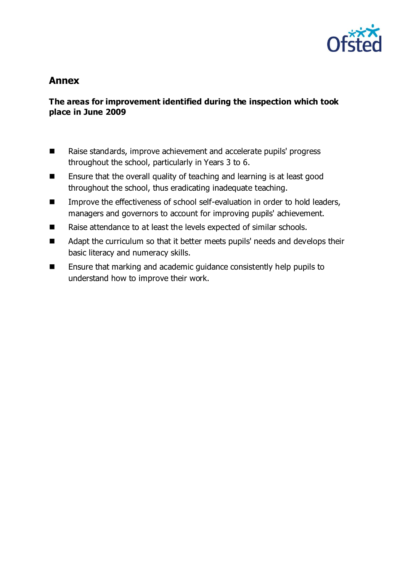

# **Annex**

### **The areas for improvement identified during the inspection which took place in June 2009**

- Raise standards, improve achievement and accelerate pupils' progress throughout the school, particularly in Years 3 to 6.
- Ensure that the overall quality of teaching and learning is at least good throughout the school, thus eradicating inadequate teaching.
- Improve the effectiveness of school self-evaluation in order to hold leaders, managers and governors to account for improving pupils' achievement.
- Raise attendance to at least the levels expected of similar schools.
- Adapt the curriculum so that it better meets pupils' needs and develops their basic literacy and numeracy skills.
- Ensure that marking and academic guidance consistently help pupils to understand how to improve their work.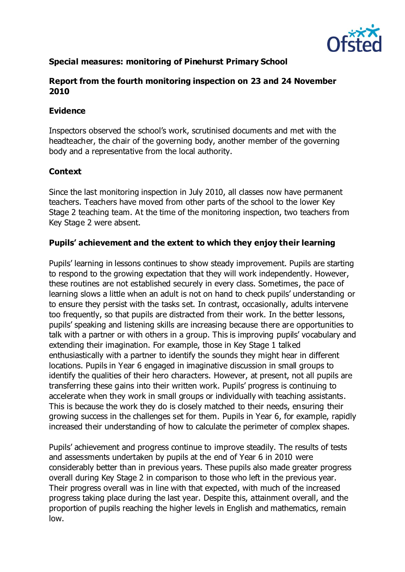

## **Special measures: monitoring of Pinehurst Primary School**

#### **Report from the fourth monitoring inspection on 23 and 24 November 2010**

#### **Evidence**

Inspectors observed the school's work, scrutinised documents and met with the headteacher, the chair of the governing body, another member of the governing body and a representative from the local authority.

### **Context**

Since the last monitoring inspection in July 2010, all classes now have permanent teachers. Teachers have moved from other parts of the school to the lower Key Stage 2 teaching team. At the time of the monitoring inspection, two teachers from Key Stage 2 were absent.

### **Pupils' achievement and the extent to which they enjoy their learning**

Pupils' learning in lessons continues to show steady improvement. Pupils are starting to respond to the growing expectation that they will work independently. However, these routines are not established securely in every class. Sometimes, the pace of learning slows a little when an adult is not on hand to check pupils' understanding or to ensure they persist with the tasks set. In contrast, occasionally, adults intervene too frequently, so that pupils are distracted from their work. In the better lessons, pupils' speaking and listening skills are increasing because there are opportunities to talk with a partner or with others in a group. This is improving pupils' vocabulary and extending their imagination. For example, those in Key Stage 1 talked enthusiastically with a partner to identify the sounds they might hear in different locations. Pupils in Year 6 engaged in imaginative discussion in small groups to identify the qualities of their hero characters. However, at present, not all pupils are transferring these gains into their written work. Pupils' progress is continuing to accelerate when they work in small groups or individually with teaching assistants. This is because the work they do is closely matched to their needs, ensuring their growing success in the challenges set for them. Pupils in Year 6, for example, rapidly increased their understanding of how to calculate the perimeter of complex shapes.

Pupils' achievement and progress continue to improve steadily. The results of tests and assessments undertaken by pupils at the end of Year 6 in 2010 were considerably better than in previous years. These pupils also made greater progress overall during Key Stage 2 in comparison to those who left in the previous year. Their progress overall was in line with that expected, with much of the increased progress taking place during the last year. Despite this, attainment overall, and the proportion of pupils reaching the higher levels in English and mathematics, remain low.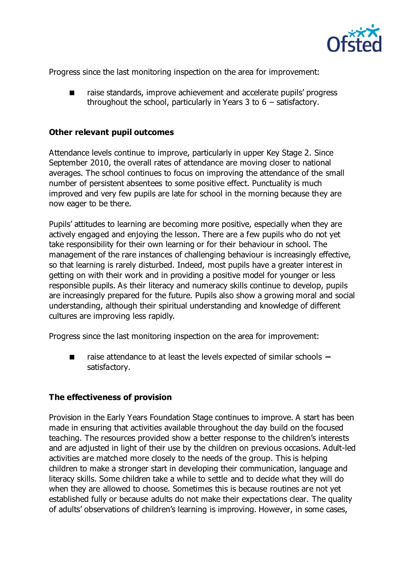

Progress since the last monitoring inspection on the area for improvement:

 raise standards, improve achievement and accelerate pupils' progress throughout the school, particularly in Years 3 to  $6$  – satisfactory.

#### **Other relevant pupil outcomes**

Attendance levels continue to improve, particularly in upper Key Stage 2. Since September 2010, the overall rates of attendance are moving closer to national averages. The school continues to focus on improving the attendance of the small number of persistent absentees to some positive effect. Punctuality is much improved and very few pupils are late for school in the morning because they are now eager to be there.

Pupils' attitudes to learning are becoming more positive, especially when they are actively engaged and enjoying the lesson. There are a few pupils who do not yet take responsibility for their own learning or for their behaviour in school. The management of the rare instances of challenging behaviour is increasingly effective, so that learning is rarely disturbed. Indeed, most pupils have a greater interest in getting on with their work and in providing a positive model for younger or less responsible pupils. As their literacy and numeracy skills continue to develop, pupils are increasingly prepared for the future. Pupils also show a growing moral and social understanding, although their spiritual understanding and knowledge of different cultures are improving less rapidly.

Progress since the last monitoring inspection on the area for improvement:

■ raise attendance to at least the levels expected of similar schools **–** satisfactory.

#### **The effectiveness of provision**

Provision in the Early Years Foundation Stage continues to improve. A start has been made in ensuring that activities available throughout the day build on the focused teaching. The resources provided show a better response to the children's interests and are adjusted in light of their use by the children on previous occasions. Adult-led activities are matched more closely to the needs of the group. This is helping children to make a stronger start in developing their communication, language and literacy skills. Some children take a while to settle and to decide what they will do when they are allowed to choose. Sometimes this is because routines are not yet established fully or because adults do not make their expectations clear. The quality of adults' observations of children's learning is improving. However, in some cases,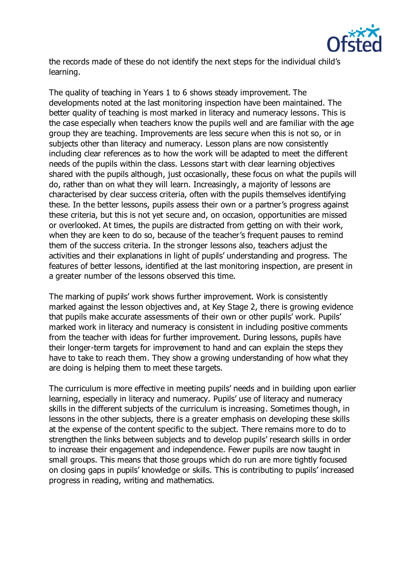

the records made of these do not identify the next steps for the individual child's learning.

The quality of teaching in Years 1 to 6 shows steady improvement. The developments noted at the last monitoring inspection have been maintained. The better quality of teaching is most marked in literacy and numeracy lessons. This is the case especially when teachers know the pupils well and are familiar with the age group they are teaching. Improvements are less secure when this is not so, or in subjects other than literacy and numeracy. Lesson plans are now consistently including clear references as to how the work will be adapted to meet the different needs of the pupils within the class. Lessons start with clear learning objectives shared with the pupils although, just occasionally, these focus on what the pupils will do, rather than on what they will learn. Increasingly, a majority of lessons are characterised by clear success criteria, often with the pupils themselves identifying these. In the better lessons, pupils assess their own or a partner's progress against these criteria, but this is not yet secure and, on occasion, opportunities are missed or overlooked. At times, the pupils are distracted from getting on with their work, when they are keen to do so, because of the teacher's frequent pauses to remind them of the success criteria. In the stronger lessons also, teachers adjust the activities and their explanations in light of pupils' understanding and progress. The features of better lessons, identified at the last monitoring inspection, are present in a greater number of the lessons observed this time.

The marking of pupils' work shows further improvement. Work is consistently marked against the lesson objectives and, at Key Stage 2, there is growing evidence that pupils make accurate assessments of their own or other pupils' work. Pupils' marked work in literacy and numeracy is consistent in including positive comments from the teacher with ideas for further improvement. During lessons, pupils have their longer-term targets for improvement to hand and can explain the steps they have to take to reach them. They show a growing understanding of how what they are doing is helping them to meet these targets.

The curriculum is more effective in meeting pupils' needs and in building upon earlier learning, especially in literacy and numeracy. Pupils' use of literacy and numeracy skills in the different subjects of the curriculum is increasing. Sometimes though, in lessons in the other subjects, there is a greater emphasis on developing these skills at the expense of the content specific to the subject. There remains more to do to strengthen the links between subjects and to develop pupils' research skills in order to increase their engagement and independence. Fewer pupils are now taught in small groups. This means that those groups which do run are more tightly focused on closing gaps in pupils' knowledge or skills. This is contributing to pupils' increased progress in reading, writing and mathematics.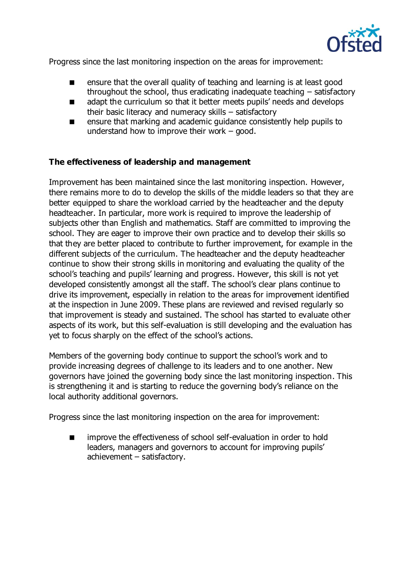

Progress since the last monitoring inspection on the areas for improvement:

- ensure that the overall quality of teaching and learning is at least good throughout the school, thus eradicating inadequate teaching – satisfactory
- **a** adapt the curriculum so that it better meets pupils' needs and develops their basic literacy and numeracy skills – satisfactory
- ensure that marking and academic guidance consistently help pupils to understand how to improve their work  $-$  good.

#### **The effectiveness of leadership and management**

Improvement has been maintained since the last monitoring inspection. However, there remains more to do to develop the skills of the middle leaders so that they are better equipped to share the workload carried by the headteacher and the deputy headteacher. In particular, more work is required to improve the leadership of subjects other than English and mathematics. Staff are committed to improving the school. They are eager to improve their own practice and to develop their skills so that they are better placed to contribute to further improvement, for example in the different subjects of the curriculum. The headteacher and the deputy headteacher continue to show their strong skills in monitoring and evaluating the quality of the school's teaching and pupils' learning and progress. However, this skill is not yet developed consistently amongst all the staff. The school's clear plans continue to drive its improvement, especially in relation to the areas for improvement identified at the inspection in June 2009. These plans are reviewed and revised regularly so that improvement is steady and sustained. The school has started to evaluate other aspects of its work, but this self-evaluation is still developing and the evaluation has yet to focus sharply on the effect of the school's actions.

Members of the governing body continue to support the school's work and to provide increasing degrees of challenge to its leaders and to one another. New governors have joined the governing body since the last monitoring inspection. This is strengthening it and is starting to reduce the governing body's reliance on the local authority additional governors.

Progress since the last monitoring inspection on the area for improvement:

**If** improve the effectiveness of school self-evaluation in order to hold leaders, managers and governors to account for improving pupils' achievement – satisfactory.